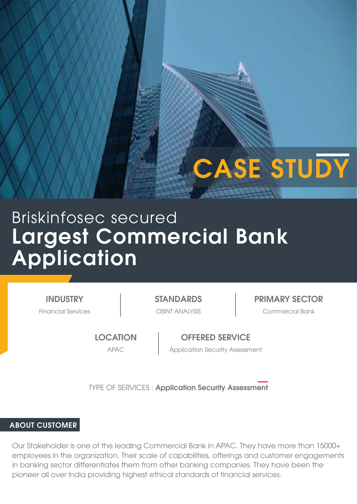# CASE STUDY

# Largest Commercial Bank Application Briskinfosec secured

**INDUSTRY** 

Financial Services OSINT ANALYSIS Commercial Bank STANDARDS PRIMARY SECTOR

**LOCATION** 

OFFERED SERVICE APAC Application Security Assessment

TYPE OF SERVICES : Application Security Assessment

#### ABOUT CUSTOMER

Our Stakeholder is one of the leading Commercial Bank in APAC. They have more than 15000+ employees in the organization. Their scale of capabilities, offerings and customer engagements in banking sector differentiates them from other banking companies. They have been the pioneer all over India providing highest ethical standards of financial services.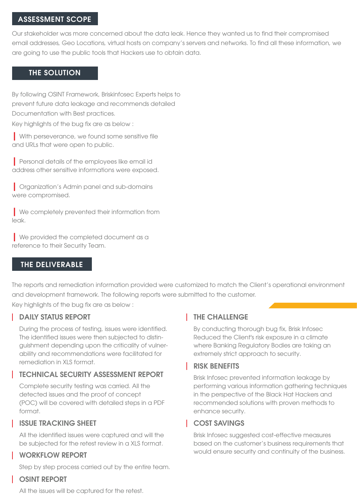#### ASSESSMENT SCOPE

Our stakeholder was more concerned about the data leak. Hence they wanted us to find their compromised email addresses, Geo Locations, virtual hosts on company's servers and networks. To find all these information, we are going to use the public tools that Hackers use to obtain data.

### THE SOLUTION

By following OSINT Framework, Briskinfosec Experts helps to prevent future data leakage and recommends detailed Documentation with Best practices.

Key highlights of the bug fix are as below :

| With perseverance, we found some sensitive file and URLs that were open to public.

| Personal details of the employees like email id address other sensitive informations were exposed.

| Organization's Admin panel and sub-domains were compromised.

| We completely prevented their information from leak.

| We provided the completed document as a reference to their Security Team.

#### THE DELIVERABLE

The reports and remediation information provided were customized to match the Client's operational environment and development framework. The following reports were submitted to the customer.

Key highlights of the bug fix are as below :

#### **DAILY STATUS REPORT**

During the process of testing, issues were identified. The identified issues were then subjected to distinguishment depending upon the criticality of vulnerability and recommendations were facilitated for remediation in XLS format.

#### TECHNICAL SECURITY ASSESSMENT REPORT

Complete security testing was carried. All the detected issues and the proof of concept (POC) will be covered with detailed steps in a PDF format.

#### ISSUE TRACKING SHEET

All the identified issues were captured and will the be subjected for the retest review in a XLS format.

#### WORKFLOW REPORT

Step by step process carried out by the entire team.

#### OSINT REPORT

All the issues will be captured for the retest.

# **THE CHALLENGE**

By conducting thorough bug fix, Brisk Infosec Reduced the Client's risk exposure in a climate where Banking Regulatory Bodies are taking an extremely strict approach to security.

#### RISK BENEFITS

Brisk Infosec prevented information leakage by performing various information gathering techniques in the perspective of the Black Hat Hackers and recommended solutions with proven methods to enhance security.

# COST SAVINGS

Brisk Infosec suggested cost-effective measures based on the customer's business requirements that would ensure security and continuity of the business.